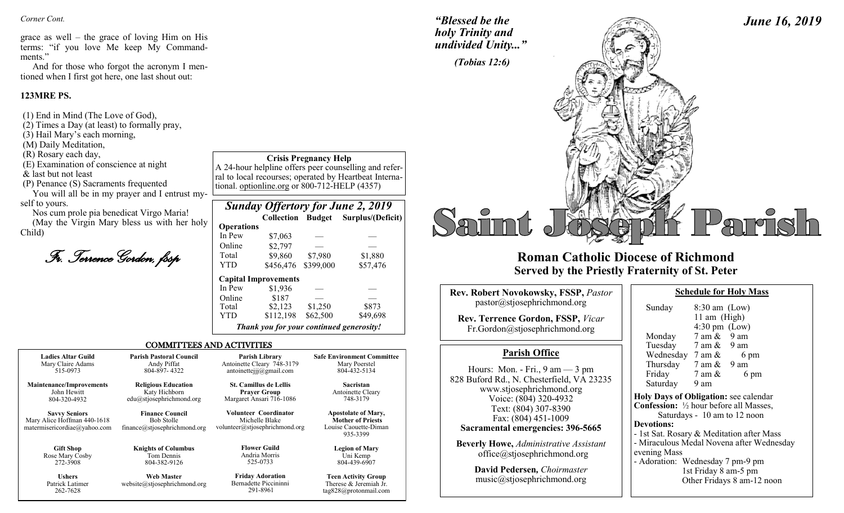grace as well – the grace of loving Him on His terms: "if you love Me keep My Commandments."

And for those who forgot the acronym I mentioned when I first got here, one last shout out:

## **123MRE PS.**

- (1) End in Mind (The Love of God),
- (2) Times a Day (at least) to formally pray,
- (3) Hail Mary's each morning,
- (M) Daily Meditation,

Patrick Latimer 262-7628

- (R) Rosary each day,
- (E) Examination of conscience at night
- & last but not least
- (P) Penance (S) Sacraments frequented
- You will all be in my prayer and I entrust myself to yours.
- Nos cum prole pia benedicat Virgo Maria! (May the Virgin Mary bless us with her holy Child)

*Fr. Terrence Gordon, fssp*

| <b>Crisis Pregnancy Help</b>                           |
|--------------------------------------------------------|
| A 24-hour helpline offers peer counselling and refer-  |
| ral to local recourses; operated by Heartbeat Interna- |
| tional. optionline.org or $800-712$ -HELP $(4357)$     |

|                   |                                          |           | <b>Sunday Offertory for June 2, 2019</b> |
|-------------------|------------------------------------------|-----------|------------------------------------------|
|                   |                                          |           | Collection Budget Surplus/(Deficit)      |
| <b>Operations</b> |                                          |           |                                          |
| In Pew            | \$7,063                                  |           |                                          |
| Online            | \$2,797                                  |           |                                          |
| Total             | \$9,860                                  | \$7,980   | \$1,880                                  |
| <b>YTD</b>        | \$456,476                                | \$399,000 | \$57,476                                 |
|                   | <b>Capital Improvements</b>              |           |                                          |
| In Pew            | \$1,936                                  |           |                                          |
| Online            | \$187                                    |           |                                          |
| Total             | \$2,123                                  | \$1,250   | \$873                                    |
| <b>YTD</b>        | \$112,198                                | \$62,500  | \$49,698                                 |
|                   | Thank you for your continued generosity! |           |                                          |

Therese & Jeremiah Jr. tag828@protonmail.com

#### COMMITTEES AND ACTIVITIES

| <b>Ladies Altar Guild</b>                                                           | <b>Parish Pastoral Council</b>                                              | Parish Library                                                            | <b>Safe Environment Committee</b>                                                           |
|-------------------------------------------------------------------------------------|-----------------------------------------------------------------------------|---------------------------------------------------------------------------|---------------------------------------------------------------------------------------------|
| Mary Claire Adams                                                                   | Andy Piffat                                                                 | Antoinette Cleary 748-3179                                                | Mary Poerstel                                                                               |
| 515-0973                                                                            | 804-897-4322                                                                | antoinettejjj@gmail.com                                                   | 804-432-5134                                                                                |
| <b>Maintenance/Improvements</b>                                                     | <b>Religious Education</b>                                                  | <b>St. Camillus de Lellis</b>                                             | Sacristan                                                                                   |
| John Hewitt                                                                         | Katy Hichborn                                                               | <b>Prayer Group</b>                                                       | Antoinette Cleary                                                                           |
| 804-320-4932                                                                        | edu@stjosephrichmond.org                                                    | Margaret Ansari 716-1086                                                  | 748-3179                                                                                    |
| <b>Savvy Seniors</b><br>Mary Alice Hoffman 440-1618<br>matermisericordiae@yahoo.com | <b>Finance Council</b><br><b>Bob Stolle</b><br>finance@stjosephrichmond.org | Volunteer Coordinator<br>Michelle Blake<br>volunteer@stjosephrichmond.org | <b>Apostolate of Mary,</b><br><b>Mother of Priests</b><br>Louise Caouette-Diman<br>935-3399 |
| <b>Gift Shop</b>                                                                    | <b>Knights of Columbus</b>                                                  | <b>Flower Guild</b>                                                       | <b>Legion of Mary</b>                                                                       |
| Rose Mary Cosby                                                                     | Tom Dennis                                                                  | Andria Morris                                                             | Uni Kemp                                                                                    |
| 272-3908                                                                            | 804-382-9126                                                                | 525-0733                                                                  | 804-439-6907                                                                                |
| <b>Ushers</b>                                                                       | <b>Web Master</b>                                                           | <b>Friday Adoration</b>                                                   | <b>Teen Activity Group</b>                                                                  |
| Patrick Latimer                                                                     | website@stiosephrichmond.org                                                | Bernadette Piccininni                                                     | Therese & Jeremiah Jr.                                                                      |

291-8961

website@stjosephrichmond.org

*"Blessed be the holy Trinity and undivided Unity..."*



# **Roman Catholic Diocese of Richmond Served by the Priestly Fraternity of St. Peter**

| <b>Rev. Robert Novokowsky, FSSP, Pastor</b><br>pastor@stjosephrichmond.org<br><b>Rev. Terrence Gordon, FSSP, Vicar</b><br>Fr.Gordon@stjosephrichmond.org | Sunday<br>Monda                                  |
|----------------------------------------------------------------------------------------------------------------------------------------------------------|--------------------------------------------------|
| <b>Parish Office</b><br>Hours: Mon. - Fri., $9 \text{ am} - 3 \text{ pm}$<br>828 Buford Rd., N. Chesterfield, VA 23235                                   | Tuesda<br>Wedne:<br>Thursda<br>Friday<br>Saturda |
| www.stjosephrichmond.org                                                                                                                                 | <b>Holy Days</b>                                 |
| Voice: (804) 320-4932                                                                                                                                    | Confession                                       |
| Text: (804) 307-8390                                                                                                                                     | Satu                                             |
| Fax: (804) 451-1009                                                                                                                                      | <b>Devotions:</b>                                |
| Sacramental emergencies: 396-5665                                                                                                                        | - 1st Sat. R                                     |
| <b>Beverly Howe, Administrative Assistant</b>                                                                                                            | - Miraculo                                       |
| office@stjosephrichmond.org                                                                                                                              | evening M                                        |

**David Pedersen***, Choirmaster* music@stjosephrichmond.org

| Sunday | $8:30$ am (Low)         |
|--------|-------------------------|
|        | 11 am $(High)$          |
|        | $4:30 \text{ pm}$ (Low) |
| 1 A 1  | $7 - 0$ 0 $-$           |

**Schedule for Holy Mass** 

*June 16, 2019*

| Monday    | 7 am & | 9 am |
|-----------|--------|------|
| Tuesday   | 7 am & | 9 am |
| Wednesday | 7 am & | 6 pm |
| Thursday  | 7 am & | 9 am |
| Friday    | 7 am & | 6 pm |
| Saturday  | 9 am   |      |
|           |        |      |

**of Obligation:** see calendar **Confession:** ½ hour before all Masses,  $atays - 10$  am to 12 noon **Devotions:**  losary & Meditation after Mass us Medal Novena after Wednesday ass - Adoration: Wednesday 7 pm-9 pm 1st Friday 8 am-5 pm Other Fridays 8 am-12 noon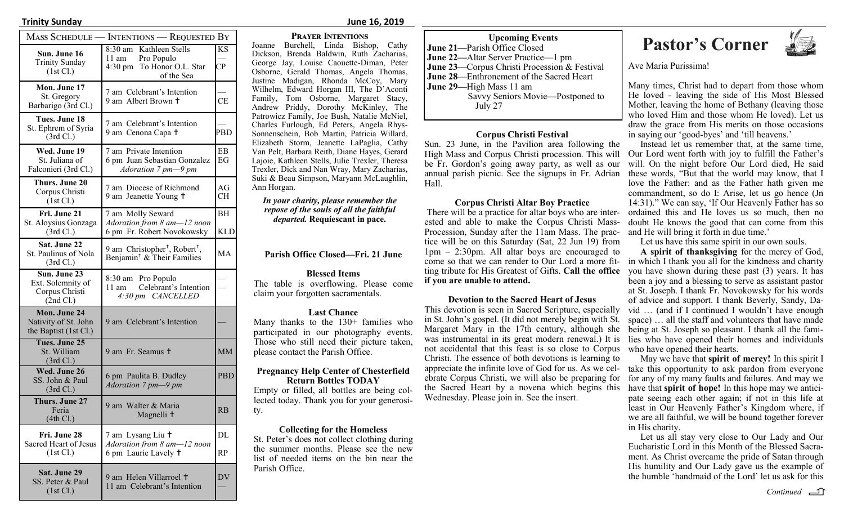#### **Trinity Sunday June 16, 2019**

|                                                                  | MASS SCHEDULE — INTENTIONS — REQUESTED BY                                                                         |                  |
|------------------------------------------------------------------|-------------------------------------------------------------------------------------------------------------------|------------------|
| Sun. June 16<br><b>Trinity Sunday</b><br>(1st Cl.)               | 8:30 am Kathleen Stells<br>11 am Pro Populo<br>$\overline{\text{CP}}$<br>4:30 pm To Honor O.L. Star<br>of the Sea |                  |
| Mon. June 17<br>St. Gregory<br>Barbarigo (3rd Cl.)               | 7 am Celebrant's Intention<br>9 am Albert Brown †                                                                 | CE               |
| Tues. June 18<br>St. Ephrem of Syria<br>(3rd Cl.)                | 7 am Celebrant's Intention<br>9 am Cenona Capa †                                                                  | PBD              |
| Wed. June 19<br>St. Juliana of<br>Falconieri (3rd Cl.)           | 7 am Private Intention<br>6 pm Juan Sebastian Gonzalez<br>Adoration 7 pm-9 pm                                     | EВ<br>EG         |
| Thurs. June 20<br>Corpus Christi<br>(1st Cl.)                    | 7 am Diocese of Richmond<br>9 am Jeanette Young +                                                                 | AG<br><b>CH</b>  |
| Fri. June 21<br>St. Aloysius Gonzaga<br>$(3rd \, Cl.)$           | 7 am Molly Seward<br>Adoration from 8 am-12 noon<br>6 pm Fr. Robert Novokowsky                                    | BH<br><b>KLD</b> |
| Sat. June 22<br>St. Paulinus of Nola<br>(3rd Cl.)                | 9 am Christopher <sup>+</sup> , Robert <sup>+</sup> ,<br>Benjamin <sup>+</sup> & Their Families                   | МA               |
| Sun. June 23<br>Ext. Solemnity of<br>Corpus Christi<br>(2nd Cl.) | 8:30 am Pro Populo<br>Celebrant's Intention<br>11 am<br>4:30 pm CANCELLED                                         |                  |
| Mon. June 24<br>Nativity of St. John<br>the Baptist (1st Cl.)    | 9 am Celebrant's Intention                                                                                        |                  |
| Tues. June 25<br>St. William<br>(3rd Cl.)                        | 9 am Fr. Seamus +                                                                                                 | <b>MM</b>        |
| Wed. June 26<br>SS. John & Paul<br>(3rd Cl.)                     | 6 pm Paulita B. Dudley<br>Adoration 7 pm-9 pm                                                                     | <b>PBD</b>       |
| Thurs. June 27<br>Feria<br>(4th Cl.)                             | 9 am Walter & Maria<br>Magnelli +                                                                                 | <b>RB</b>        |
| Fri. June 28<br>Sacred Heart of Jesus<br>(1st Cl.)               | 7 am Lysang Liu +<br>Adoration from 8 am-12 noon<br>6 pm Laurie Lavely +                                          | DL<br>RP         |
| Sat. June 29<br>SS. Peter & Paul<br>(1st Cl.)                    | 9 am Helen Villarroel +<br>11 am Celebrant's Intention                                                            | DV               |

#### **Prayer Intentions**

Joanne Burchell, Linda Bishop, Cathy Dickson, Brenda Baldwin, Ruth Zacharias, George Jay, Louise Caouette-Diman, Peter Osborne, Gerald Thomas, Angela Thomas, Justine Madigan, Rhonda McCoy, Mary Wilhelm, Edward Horgan III, The D'Aconti Family, Tom Osborne, Margaret Stacy, Andrew Priddy, Dorothy McKinley, The Patrowicz Family, Joe Bush, Natalie McNiel, Charles Furlough, Ed Peters, Angela Rhys-Sonnenschein, Bob Martin, Patricia Willard, Elizabeth Storm, Jeanette LaPaglia, Cathy Van Pelt, Barbara Reith, Diane Hayes, Gerard Lajoie, Kathleen Stells, Julie Trexler, Theresa Trexler, Dick and Nan Wray, Mary Zacharias, Suki & Beau Simpson, Maryann McLaughlin, Ann Horgan.

#### *In your charity, please remember the repose of the souls of all the faithful departed.* **Requiescant in pace.**

# **Parish Office Closed—Fri. 21 June**

### **Blessed Items**

The table is overflowing. Please come claim your forgotten sacramentals.

# **Last Chance**

Many thanks to the 130+ families who participated in our photography events. Those who still need their picture taken, please contact the Parish Office.

#### **Pregnancy Help Center of Chesterfield Return Bottles TODAY**

Empty or filled, all bottles are being collected today. Thank you for your generosity.

# **Collecting for the Homeless**

St. Peter's does not collect clothing during the summer months. Please see the new list of needed items on the bin near the Parish Office.

| <b>Upcoming Events</b>                       |
|----------------------------------------------|
| <b>June 21—Parish Office Closed</b>          |
| <b>June 22—Altar Server Practice—1 pm</b>    |
| June 23—Corpus Christi Procession & Festival |
| June 28—Enthronement of the Sacred Heart     |
| <b>June 29—High Mass 11 am</b>               |
| Savvy Seniors Movie—Postponed to             |
| July 27                                      |
|                                              |

# **Corpus Christi Festival**

Sun. 23 June, in the Pavilion area following the be Fr. Gordon's going away party, as well as our annual parish picnic. See the signups in Fr. Adrian Hall.

# **Corpus Christi Altar Boy Practice**

There will be a practice for altar boys who are interested and able to make the Corpus Christi Mass-Procession, Sunday after the 11am Mass. The practice will be on this Saturday (Sat, 22 Jun 19) from 1pm – 2:30pm. All altar boys are encouraged to come so that we can render to Our Lord a more fitting tribute for His Greatest of Gifts. **Call the office if you are unable to attend.**

# **Devotion to the Sacred Heart of Jesus**

This devotion is seen in Sacred Scripture, especially in St. John's gospel. (It did not merely begin with St. Margaret Mary in the 17th century, although she was instrumental in its great modern renewal.) It is not accidental that this feast is so close to Corpus Christi. The essence of both devotions is learning to appreciate the infinite love of God for us. As we celebrate Corpus Christi, we will also be preparing for the Sacred Heart by a novena which begins this Wednesday. Please join in. See the insert.

# **Pastor's Corner**



## Ave Maria Purissima!

Many times, Christ had to depart from those whom He loved - leaving the side of His Most Blessed Mother, leaving the home of Bethany (leaving those who loved Him and those whom He loved). Let us draw the grace from His merits on those occasions in saying our 'good-byes' and 'till heavens.'

High Mass and Corpus Christi procession. This will Our Lord went forth with joy to fulfill the Father's Instead let us remember that, at the same time, will. On the night before Our Lord died, He said these words, "But that the world may know, that I love the Father: and as the Father hath given me commandment, so do I: Arise, let us go hence (Jn 14:31)." We can say, 'If Our Heavenly Father has so ordained this and He loves us so much, then no doubt He knows the good that can come from this and He will bring it forth in due time.'

Let us have this same spirit in our own souls.

**A spirit of thanksgiving** for the mercy of God, in which I thank you all for the kindness and charity you have shown during these past (3) years. It has been a joy and a blessing to serve as assistant pastor at St. Joseph. I thank Fr. Novokowsky for his words of advice and support. I thank Beverly, Sandy, David … (and if I continued I wouldn't have enough space) … all the staff and volunteers that have made being at St. Joseph so pleasant. I thank all the families who have opened their homes and individuals who have opened their hearts.

May we have that **spirit of mercy!** In this spirit I take this opportunity to ask pardon from everyone for any of my many faults and failures. And may we have that **spirit of hope!** In this hope may we anticipate seeing each other again; if not in this life at least in Our Heavenly Father's Kingdom where, if we are all faithful, we will be bound together forever in His charity.

Let us all stay very close to Our Lady and Our Eucharistic Lord in this Month of the Blessed Sacrament. As Christ overcame the pride of Satan through His humility and Our Lady gave us the example of the humble 'handmaid of the Lord' let us ask for this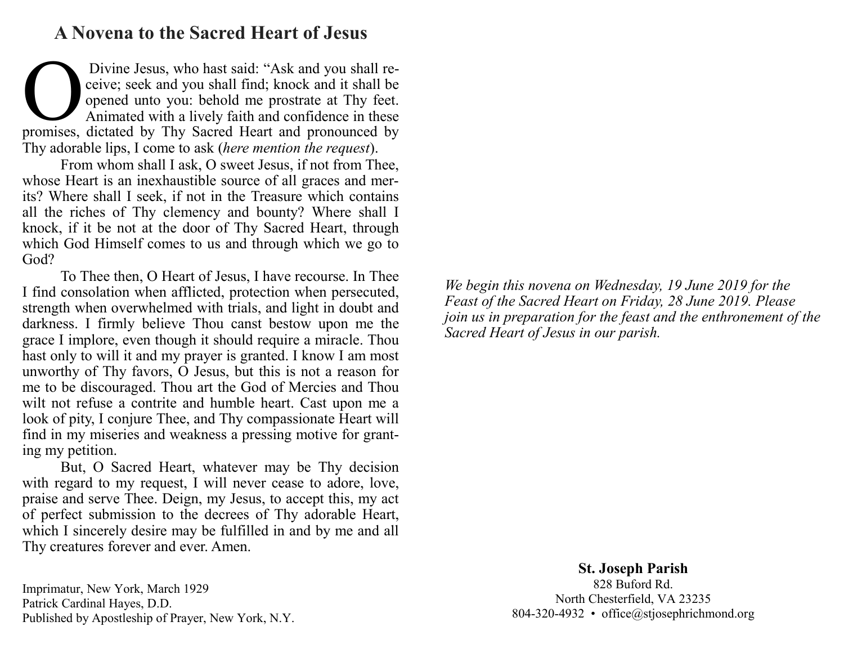# **A Novena to the Sacred Heart of Jesus**

Divine Jesus, who hast said: "Ask and you shall receive; seek and you shall find; knock and it shall be opened unto you: behold me prostrate at Thy feet.<br>Animated with a lively faith and confidence in these promises, dicta Divine Jesus, who hast said: "Ask and you shall receive; seek and you shall find; knock and it shall be opened unto you: behold me prostrate at Thy feet. Animated with a lively faith and confidence in these Thy adorable lips, I come to ask (*here mention the request*).

From whom shall I ask, O sweet Jesus, if not from Thee, whose Heart is an inexhaustible source of all graces and merits? Where shall I seek, if not in the Treasure which contains all the riches of Thy clemency and bounty? Where shall I knock, if it be not at the door of Thy Sacred Heart, through which God Himself comes to us and through which we go to God?

To Thee then, O Heart of Jesus, I have recourse. In Thee I find consolation when afflicted, protection when persecuted, strength when overwhelmed with trials, and light in doubt and darkness. I firmly believe Thou canst bestow upon me the grace I implore, even though it should require a miracle. Thou hast only to will it and my prayer is granted. I know I am most unworthy of Thy favors, O Jesus, but this is not a reason for me to be discouraged. Thou art the God of Mercies and Thou wilt not refuse a contrite and humble heart. Cast upon me a look of pity, I conjure Thee, and Thy compassionate Heart will find in my miseries and weakness a pressing motive for granting my petition.

But, O Sacred Heart, whatever may be Thy decision with regard to my request, I will never cease to adore, love, praise and serve Thee. Deign, my Jesus, to accept this, my act of perfect submission to the decrees of Thy adorable Heart, which I sincerely desire may be fulfilled in and by me and all Thy creatures forever and ever. Amen.

Imprimatur, New York, March 1929 Patrick Cardinal Hayes, D.D. Published by Apostleship of Prayer, New York, N.Y.

*We begin this novena on Wednesday, 19 June 2019 for the Feast of the Sacred Heart on Friday, 28 June 2019. Please join us in preparation for the feast and the enthronement of the Sacred Heart of Jesus in our parish.*

> **St. Joseph Parish** 828 Buford Rd. North Chesterfield, VA 23235 804-320-4932 • office@stjosephrichmond.org